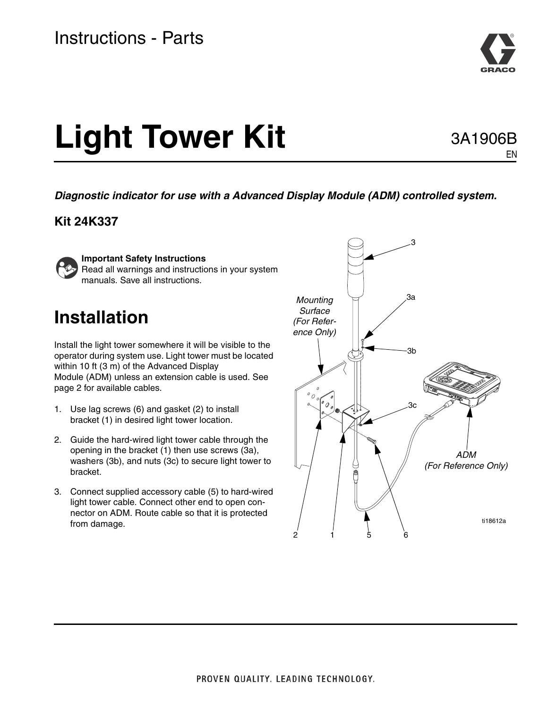

# **Light Tower Kit**

### 3A1906B EN

*Diagnostic indicator for use with a Advanced Display Module (ADM) controlled system.*

#### **Kit 24K337**



#### **Important Safety Instructions**

Read all warnings and instructions in your system manuals. Save all instructions.

## **Installation**

Install the light tower somewhere it will be visible to the operator during system use. Light tower must be located within 10 ft (3 m) of the Advanced Display Module (ADM) unless an extension cable is used. See page [2](#page-1-0) for available cables.

- 1. Use lag screws (6) and gasket (2) to install bracket (1) in desired light tower location.
- 2. Guide the hard-wired light tower cable through the opening in the bracket (1) then use screws (3a), washers (3b), and nuts (3c) to secure light tower to bracket.
- 3. Connect supplied accessory cable (5) to hard-wired light tower cable. Connect other end to open connector on ADM. Route cable so that it is protected from damage.